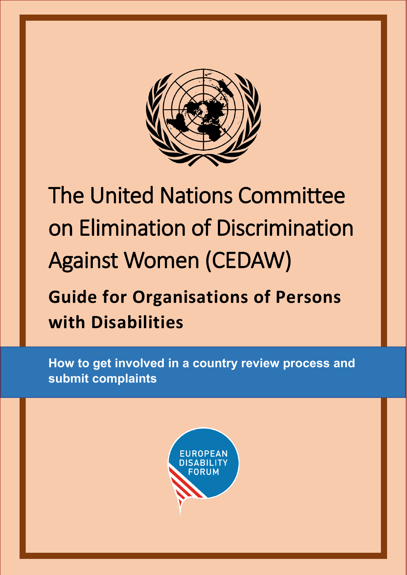

# The United Nations Committee on Elimination of Discrimination Against Women (CEDAW)

## **Guide for Organisations of Persons with Disabilities**

**How to get involved in a country review process and submit complaints**

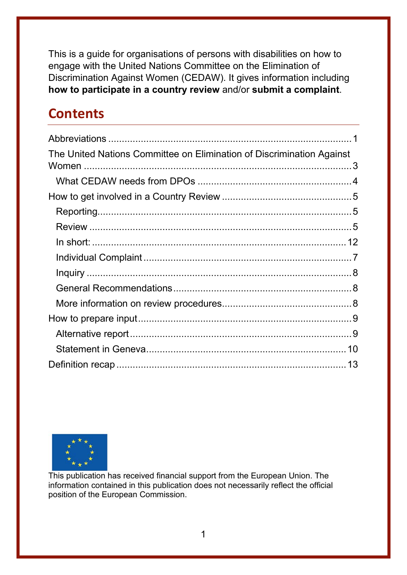This is a guide for organisations of persons with disabilities on how to engage with the United Nations Committee on the Elimination of Discrimination Against Women (CEDAW). It gives information including **how to participate in a country review** and/or **submit a complaint**.

## **Contents**

| The United Nations Committee on Elimination of Discrimination Against |  |
|-----------------------------------------------------------------------|--|
|                                                                       |  |
|                                                                       |  |
|                                                                       |  |
|                                                                       |  |
|                                                                       |  |
|                                                                       |  |
|                                                                       |  |
|                                                                       |  |
|                                                                       |  |
|                                                                       |  |
|                                                                       |  |
|                                                                       |  |
|                                                                       |  |
|                                                                       |  |

<span id="page-1-0"></span>

This publication has received financial support from the European Union. The information contained in this publication does not necessarily reflect the official position of the European Commission.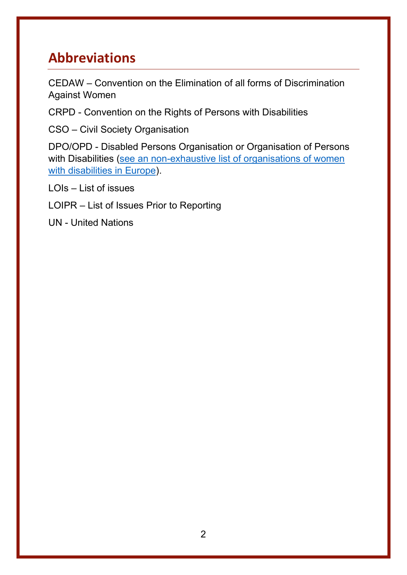## **Abbreviations**

CEDAW – Convention on the Elimination of all forms of Discrimination Against Women

CRPD - Convention on the Rights of Persons with Disabilities

CSO – Civil Society Organisation

DPO/OPD - Disabled Persons Organisation or Organisation of Persons with Disabilities (see an non-exhaustive list of organisations of women [with disabilities in Europe\)](http://www.edf-feph.org/organisations-and-committees-women-and-girls-disabilities-europe).

LOIs – List of issues

LOIPR – List of Issues Prior to Reporting

UN - United Nations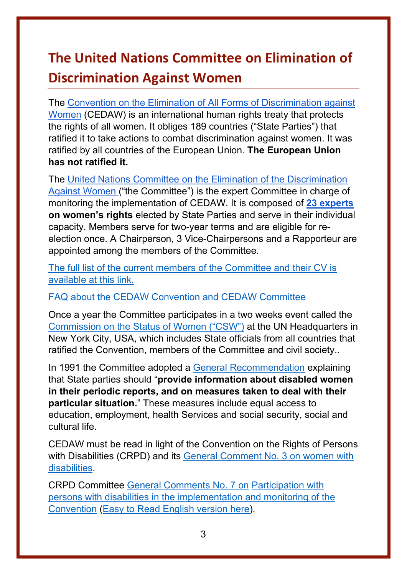## <span id="page-3-0"></span>**The United Nations Committee on Elimination of Discrimination Against Women**

The [Convention on the Elimination of All Forms of Discrimination against](https://www.ohchr.org/en/professionalinterest/pages/cedaw.aspx)  [Women](https://www.ohchr.org/en/professionalinterest/pages/cedaw.aspx) (CEDAW) is an international human rights treaty that protects the rights of all women. It obliges 189 countries ("State Parties") that ratified it to take actions to combat discrimination against women. It was ratified by all countries of the European Union. **The European Union has not ratified it.**

The [United Nations Committee on the Elimination of the Discrimination](https://www.ohchr.org/en/hrbodies/cedaw/pages/cedawindex.aspx)  [Against Women \(](https://www.ohchr.org/en/hrbodies/cedaw/pages/cedawindex.aspx)"the Committee") is the expert Committee in charge of monitoring the implementation of CEDAW. It is composed of **[23 experts](https://www.ohchr.org/EN/HRBodies/CEDAW/Pages/Membership.aspx) on women's rights** elected by State Parties and serve in their individual capacity. Members serve for two-year terms and are eligible for reelection once. A Chairperson, 3 Vice-Chairpersons and a Rapporteur are appointed among the members of the Committee.

[The full list of the current members of the Committee and their CV is](https://www.ohchr.org/EN/HRBodies/CEDAW/Pages/Membership.aspx)  [available at this link.](https://www.ohchr.org/EN/HRBodies/CEDAW/Pages/Membership.aspx)

[FAQ about the CEDAW Convention and CEDAW Committee](https://asiapacific.unwomen.org/en/focus-areas/cedaw-human-rights/faq)

Once a year the Committee participates in a two weeks event called the [Commission on the Status of Women \("CSW"\)](https://www.unwomen.org/en/csw) at the UN Headquarters in New York City, USA, which includes State officials from all countries that ratified the Convention, members of the Committee and civil society..

In 1991 the Committee adopted a [General Recommendation](http://tbinternet.ohchr.org/_layouts/treatybodyexternal/Download.aspx?symbolno=INT/CEDAW/GEC/4729&Lang=en) explaining that State parties should "**provide information about disabled women in their periodic reports, and on measures taken to deal with their particular situation.**" These measures include equal access to education, employment, health Services and social security, social and cultural life.

CEDAW must be read in light of the Convention on the Rights of Persons with Disabilities (CRPD) and its [General Comment No. 3 on women with](http://tbinternet.ohchr.org/_layouts/treatybodyexternal/Download.aspx?symbolno=CRPD/C/GC/3&Lang=en)  [disabilities.](http://tbinternet.ohchr.org/_layouts/treatybodyexternal/Download.aspx?symbolno=CRPD/C/GC/3&Lang=en)

CRPD Committee [General Comments No. 7 on](https://tbinternet.ohchr.org/_layouts/treatybodyexternal/Download.aspx?symbolno=CRPD/C/GC/7&Lang=en) [Participation with](https://tbinternet.ohchr.org/_layouts/treatybodyexternal/Download.aspx?symbolno=CRPD/C/GC/7&Lang=en)  [persons with disabilities in the implementation and monitoring of the](https://tbinternet.ohchr.org/_layouts/treatybodyexternal/Download.aspx?symbolno=CRPD/C/GC/7&Lang=en)  [Convention](https://tbinternet.ohchr.org/_layouts/treatybodyexternal/Download.aspx?symbolno=CRPD/C/GC/7&Lang=en) [\(Easy to Read English version here\)](https://www.ohchr.org/Documents/HRBodies/CRPD/CRPD_C_GC_7_8757_EasytoRead.docx).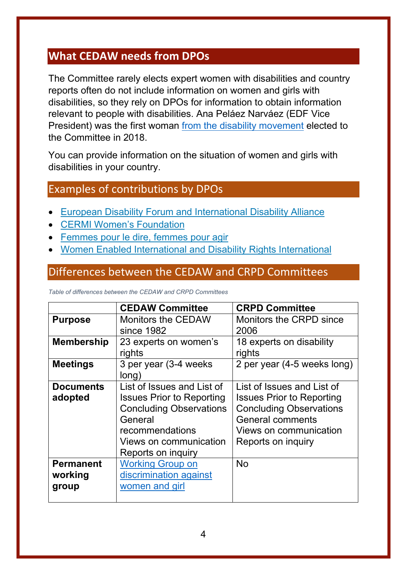#### <span id="page-4-0"></span>**What CEDAW needs from DPOs**

The Committee rarely elects expert women with disabilities and country reports often do not include information on women and girls with disabilities, so they rely on DPOs for information to obtain information relevant to people with disabilities. Ana Peláez Narváez (EDF Vice President) was the first woman [from the disability movement](http://www.edf-feph.org/newsroom/news/ana-pelaez-narvaez-first-woman-disability-elected-un-committee-elimination) elected to the Committee in 2018.

You can provide information on the situation of women and girls with disabilities in your country.

#### Examples of contributions by DPOs

- [European Disability Forum and International Disability Alliance](https://www.ohchr.org/Documents/HRBodies/CEDAW/TraffickingGlobalMigration/NGOs/IDA_and_EDF-CEDAW_draft_GC_trafficking_final.docx)
- **[CERMI Women's](https://www.ohchr.org/Documents/HRBodies/CEDAW/TraffickingGlobalMigration/NGOs/CERMI-CONTRIBUTION_CEDAW_RECOMMENDATION_38_English.docx) Foundation**
- [Femmes pour le dire, femmes pour agir](https://www.ohchr.org/Documents/HRBodies/CEDAW/TraffickingGlobalMigration/NGOs/Femmes_pour_le_Dire-art6_cedaw_english.docx)
- [Women Enabled International](http://www.womenenabled.org/) [and](https://www.ohchr.org/Documents/HRBodies/CEDAW/TraffickingGlobalMigration/NGOs/WEI_and_DRI-Draft_General_Recommendation_on_TWGCGM.docx) Disability [Rights International](https://www.driadvocacy.org/https:/www.driadvocacy.org/)

#### Differences between the CEDAW and CRPD Committees

*Table of differences between the CEDAW and CRPD Committees*

|                                      | <b>CEDAW Committee</b>                                                                                                                                                         | <b>CRPD Committee</b>                                                                                                                                                       |
|--------------------------------------|--------------------------------------------------------------------------------------------------------------------------------------------------------------------------------|-----------------------------------------------------------------------------------------------------------------------------------------------------------------------------|
| <b>Purpose</b>                       | <b>Monitors the CEDAW</b><br>since 1982                                                                                                                                        | Monitors the CRPD since<br>2006                                                                                                                                             |
| <b>Membership</b>                    | 23 experts on women's<br>rights                                                                                                                                                | 18 experts on disability<br>rights                                                                                                                                          |
| <b>Meetings</b>                      | 3 per year (3-4 weeks)<br>long)                                                                                                                                                | 2 per year (4-5 weeks long)                                                                                                                                                 |
| <b>Documents</b><br>adopted          | List of Issues and List of<br><b>Issues Prior to Reporting</b><br><b>Concluding Observations</b><br>General<br>recommendations<br>Views on communication<br>Reports on inquiry | List of Issues and List of<br><b>Issues Prior to Reporting</b><br><b>Concluding Observations</b><br><b>General comments</b><br>Views on communication<br>Reports on inquiry |
| <b>Permanent</b><br>working<br>group | <b>Working Group on</b><br>discrimination against<br>women and girl                                                                                                            | <b>No</b>                                                                                                                                                                   |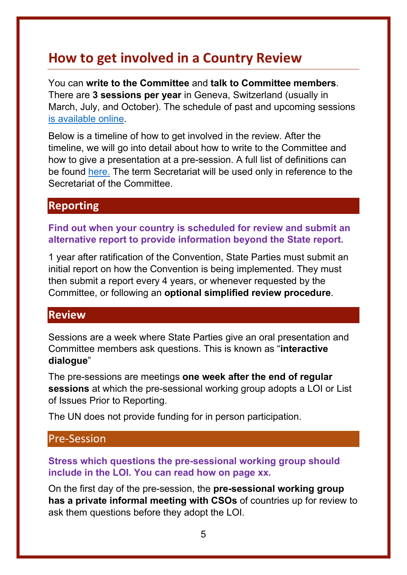## <span id="page-5-0"></span>**How to get involved in a Country Review**

You can **write to the Committee** and **talk to Committee members**. There are **3 sessions per year** in Geneva, Switzerland (usually in March, July, and October). The schedule of past and upcoming sessions [is available online.](https://tbinternet.ohchr.org/_layouts/15/TreatyBodyExternal/SessionsList.aspx?Treaty=CEDAW)

Below is a timeline of how to get involved in the review. After the timeline, we will go into detail about how to write to the Committee and how to give a presentation at a pre-session. A full list of definitions can be found [here.](https://www.ohchr.org/EN/HRBodies/Pages/TBGlossary.aspx#periodicity) The term Secretariat will be used only in reference to the Secretariat of the Committee.

#### <span id="page-5-1"></span>**Reporting**

**Find out when your country is scheduled for review and submit an alternative report to provide information beyond the State report.**

1 year after ratification of the Convention, State Parties must submit an initial report on how the Convention is being implemented. They must then submit a report every 4 years, or whenever requested by the Committee, or following an **optional simplified review procedure**.

#### <span id="page-5-2"></span>**Review**

Sessions are a week where State Parties give an oral presentation and Committee members ask questions. This is known as "**interactive dialogue**"

The pre-sessions are meetings **one week after the end of regular sessions** at which the pre-sessional working group adopts a LOI or List of Issues Prior to Reporting.

The UN does not provide funding for in person participation.

#### Pre-Session

#### **Stress which questions the pre-sessional working group should include in the LOI. You can read how on page xx.**

On the first day of the pre-session, the **pre-sessional working group has a private informal meeting with CSOs** of countries up for review to ask them questions before they adopt the LOI.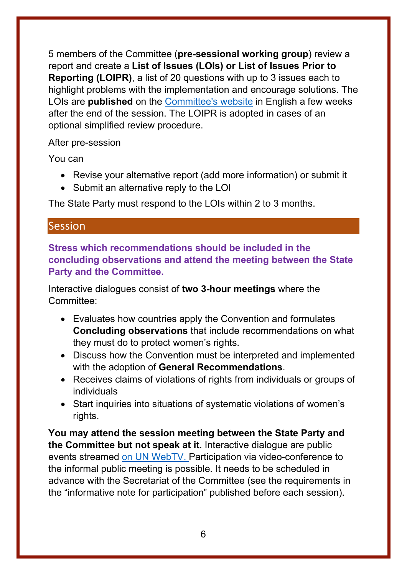5 members of the Committee (**pre-sessional working group**) review a report and create a **List of Issues (LOIs) or List of Issues Prior to Reporting (LOIPR)**, a list of 20 questions with up to 3 issues each to highlight problems with the implementation and encourage solutions. The LOIs are **published** on the [Committee's website](https://tbinternet.ohchr.org/_layouts/15/TreatyBodyExternal/SessionsList.aspx?Treaty=CEDAW) in English a few weeks after the end of the session. The LOIPR is adopted in cases of an optional simplified review procedure.

#### After pre-session

You can

- Revise your alternative report (add more information) or submit it
- Submit an alternative reply to the LOI

The State Party must respond to the LOIs within 2 to 3 months.

#### **Session**

**Stress which recommendations should be included in the concluding observations and attend the meeting between the State Party and the Committee.**

Interactive dialogues consist of **two 3-hour meetings** where the Committee:

- Evaluates how countries apply the Convention and formulates **Concluding observations** that include recommendations on what they must do to protect women's rights.
- Discuss how the Convention must be interpreted and implemented with the adoption of **General Recommendations**.
- Receives claims of violations of rights from individuals or groups of individuals
- Start inquiries into situations of systematic violations of women's rights.

**You may attend the session meeting between the State Party and the Committee but not speak at it**. Interactive dialogue are public events streamed [on UN WebTV.](http://webtv.un.org/) Participation via video-conference to the informal public meeting is possible. It needs to be scheduled in advance with the Secretariat of the Committee (see the requirements in the "informative note for participation" published before each session).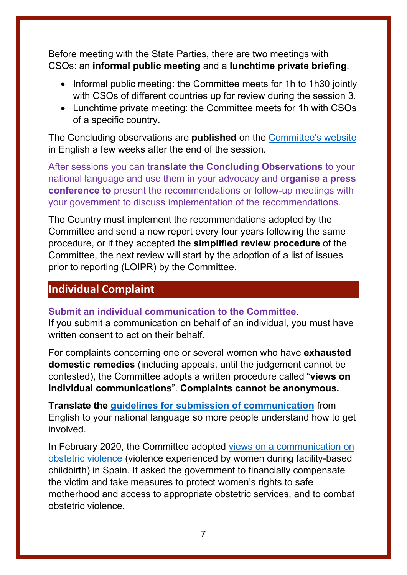Before meeting with the State Parties, there are two meetings with CSOs: an **informal public meeting** and a **lunchtime private briefing**.

- Informal public meeting: the Committee meets for 1h to 1h30 jointly with CSOs of different countries up for review during the session 3.
- Lunchtime private meeting: the Committee meets for 1h with CSOs of a specific country.

The Concluding observations are **published** on the [Committee's website](https://tbinternet.ohchr.org/_layouts/15/TreatyBodyExternal/SessionsList.aspx?Treaty=CEDAW) in English a few weeks after the end of the session.

After sessions you can t**ranslate the Concluding Observations** to your national language and use them in your advocacy and o**rganise a press conference to** present the recommendations or follow-up meetings with your government to discuss implementation of the recommendations.

The Country must implement the recommendations adopted by the Committee and send a new report every four years following the same procedure, or if they accepted the **simplified review procedure** of the Committee, the next review will start by the adoption of a list of issues prior to reporting (LOIPR) by the Committee.

#### <span id="page-7-0"></span>**Individual Complaint**

**Submit an individual communication to the Committee**.

If you submit a communication on behalf of an individual, you must have written consent to act on their behalf.

For complaints concerning one or several women who have **exhausted domestic remedies** (including appeals, until the judgement cannot be contested), the Committee adopts a written procedure called "**views on individual communications**". **Complaints cannot be anonymous.**

**Translate the [guidelines for submission of communication](https://www.google.com/url?sa=t&rct=j&q=&esrc=s&source=web&cd=&ved=2ahUKEwiFoazZ6PLrAhVRyaQKHYX1BW0QFjAAegQIBxAB&url=https%3A%2F%2Fwww.ohchr.org%2Fdocuments%2FHRBodies%2FCEDAW%2FInfoNote_OP_en.doc&usg=AOvVaw2-BDeJf_P99iLpe5YvfDGC)** from English to your national language so more people understand how to get involved.

In February 2020, the Committee adopted [views on a communication on](https://juris.ohchr.org/Search/Details/2710)  [obstetric violence](https://juris.ohchr.org/Search/Details/2710) (violence experienced by women during facility-based childbirth) in Spain. It asked the government to financially compensate the victim and take measures to protect women's rights to safe motherhood and access to appropriate obstetric services, and to combat obstetric violence.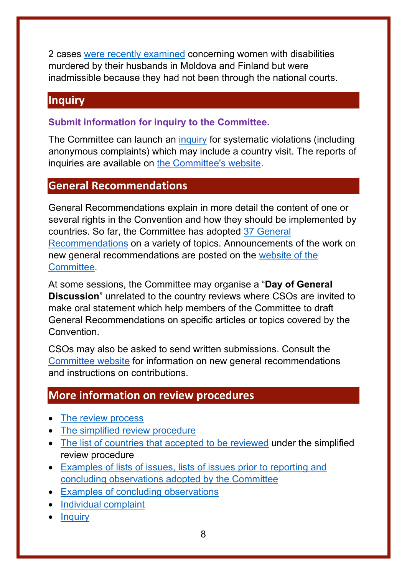2 cases [were recently examined](https://www.ohchr.org/Documents/HRBodies/CEDAW/PendingCases.docx) concerning women with disabilities murdered by their husbands in Moldova and Finland but were inadmissible because they had not been through the national courts.

#### <span id="page-8-0"></span>**Inquiry**

**Submit information for inquiry to the Committee.**

The Committee can launch an [inquiry](https://www.ohchr.org/EN/HRBodies/CESCR/Pages/InquiryProcedure.aspx) for systematic violations (including anonymous complaints) which may include a country visit. The reports of inquiries are available on [the Committee's website.](https://tbinternet.ohchr.org/_layouts/15/treatybodyexternal/TBSearch.aspx?Lang=en&TreatyID=4&DocTypeCategoryID=7)

#### <span id="page-8-1"></span>**General Recommendations**

General Recommendations explain in more detail the content of one or several rights in the Convention and how they should be implemented by countries. So far, the Committee has adopted [37 General](https://www.ohchr.org/EN/HRBodies/CEDAW/Pages/Recommendations.aspx)  [Recommendations](https://www.ohchr.org/EN/HRBodies/CEDAW/Pages/Recommendations.aspx) on a variety of topics. Announcements of the work on new general recommendations are posted on the [website of the](https://www.ohchr.org/en/hrbodies/cedaw/pages/cedawindex.aspx)  [Committee.](https://www.ohchr.org/en/hrbodies/cedaw/pages/cedawindex.aspx)

At some sessions, the Committee may organise a "**Day of General Discussion**" unrelated to the country reviews where CSOs are invited to make oral statement which help members of the Committee to draft General Recommendations on specific articles or topics covered by the **Convention** 

CSOs may also be asked to send written submissions. Consult the [Committee website](https://www.ohchr.org/EN/HRBodies/CEDAW/Pages/CEDAWIndex.aspx) for information on new general recommendations and instructions on contributions.

#### <span id="page-8-2"></span>**More information on review procedures**

- [The review process](https://www.ohchr.org/EN/HRBodies/CEDAW/Pages/WorkingMethods.aspx)
- [The simplified review procedure](https://www.ohchr.org/EN/HRBodies/CEDAW/Pages/ReportingProcedures.aspx)
- [The list of countries that accepted to be reviewed](https://tbinternet.ohchr.org/_layouts/15/TreatyBodyExternal/OptionalReporting.aspx?TreatyID=3&Lang=En) under the simplified review procedure
- Examples [of lists of issues, lists of issues prior to reporting and](https://tbinternet.ohchr.org/_layouts/15/TreatyBodyExternal/SessionsList.aspx?Treaty=CEDAW)  concluding [observations adopted by the Committee](https://tbinternet.ohchr.org/_layouts/15/TreatyBodyExternal/SessionsList.aspx?Treaty=CEDAW)
- [Examples of concluding observations](https://tbinternet.ohchr.org/_layouts/15/treatybodyexternal/TBSearch.aspx?Lang=en&TreatyID=3&DocTypeID=5)
- [Individual complaint](https://www.ohchr.org/EN/HRBodies/TBPetitions/Pages/IndividualCommunications.aspx#proceduregenerale)
- [Inquiry](https://www.ohchr.org/EN/HRBodies/CEDAW/Pages/InquiryProcedure.aspx)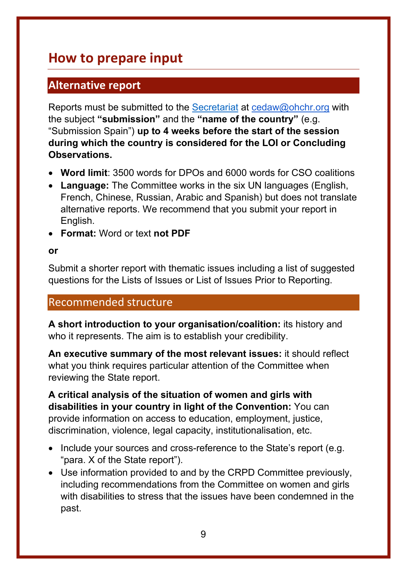## <span id="page-9-0"></span>**How to prepare input**

#### <span id="page-9-1"></span>**Alternative report**

Reports must be submitted to the [Secretariat](mailto:Secretariat) at [cedaw@ohchr.org](mailto:cedaw@ohchr.org) with the subject **"submission"** and the **"name of the country"** (e.g. "Submission Spain") **up to 4 weeks before the start of the session during which the country is considered for the LOI or Concluding Observations.**

- **Word limit**: 3500 words for DPOs and 6000 words for CSO coalitions
- **Language:** The Committee works in the six UN languages (English, French, Chinese, Russian, Arabic and Spanish) but does not translate alternative reports. We recommend that you submit your report in English.
- **Format:** Word or text **not PDF**

#### **or**

Submit a shorter report with thematic issues including a list of suggested questions for the Lists of Issues or List of Issues Prior to Reporting.

#### Recommended structure

**A short introduction to your organisation/coalition:** its history and who it represents. The aim is to establish your credibility.

**An executive summary of the most relevant issues:** it should reflect what you think requires particular attention of the Committee when reviewing the State report.

**A critical analysis of the situation of women and girls with disabilities in your country in light of the Convention:** You can provide information on access to education, employment, justice, discrimination, violence, legal capacity, institutionalisation, etc.

- Include your sources and cross-reference to the State's report (e.g. "para. X of the State report").
- Use information provided to and by the CRPD Committee previously, including recommendations from the Committee on women and girls with disabilities to stress that the issues have been condemned in the past.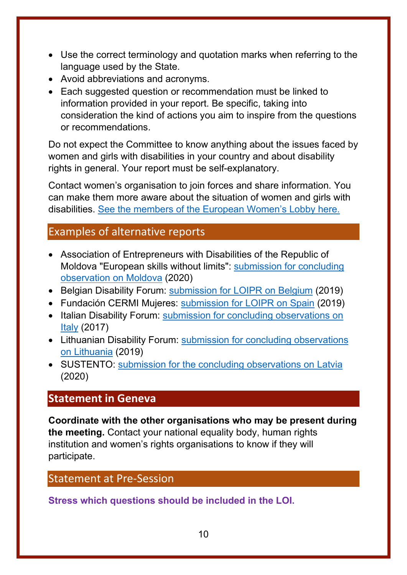- Use the correct terminology and quotation marks when referring to the language used by the State.
- Avoid abbreviations and acronyms.
- Each suggested question or recommendation must be linked to information provided in your report. Be specific, taking into consideration the kind of actions you aim to inspire from the questions or recommendations.

Do not expect the Committee to know anything about the issues faced by women and girls with disabilities in your country and about disability rights in general. Your report must be self-explanatory.

Contact women's organisation to join forces and share information. You can make them more aware about the situation of women and girls with disabilities. [See the members of the European Women's Lobby here.](https://www.womenlobby.org/-National-Coordinations-)

#### Examples of alternative reports

- Association of Entrepreneurs with Disabilities of the Republic of Moldova "European skills without limits": [submission for concluding](https://tbinternet.ohchr.org/_layouts/15/treatybodyexternal/Download.aspx?symbolno=INT%2fCEDAW%2fCSS%2fMDA%2f41076&Lang=en)  [observation on Moldova](https://tbinternet.ohchr.org/_layouts/15/treatybodyexternal/Download.aspx?symbolno=INT%2fCEDAW%2fCSS%2fMDA%2f41076&Lang=en) (2020)
- Belgian Disability Forum: [submission for LOIPR](https://tbinternet.ohchr.org/_layouts/15/treatybodyexternal/Download.aspx?symbolno=INT%2fCEDAW%2fICS%2fBEL%2f37440&Lang=en) on Belgium (2019)
- Fundación CERMI Mujeres: [submission for LOIPR](https://tbinternet.ohchr.org/_layouts/15/treatybodyexternal/Download.aspx?symbolno=INT%2fCEDAW%2fICS%2fESP%2f35209&Lang=en) on Spain (2019)
- Italian Disability Forum: submission for concluding observations on [Italy](https://tbinternet.ohchr.org/_layouts/15/treatybodyexternal/Download.aspx?symbolno=INT%2fCEDAW%2fNGO%2fITA%2f27340&Lang=en) (2017)
- Lithuanian Disability Forum: submission for concluding observations [on Lithuania](https://tbinternet.ohchr.org/_layouts/15/treatybodyexternal/Download.aspx?symbolno=INT%2fCEDAW%2fCSS%2fLTU%2f37374&Lang=en) (2019)
- SUSTENTO: [submission for the concluding observations on Latvia](https://tbinternet.ohchr.org/_layouts/15/treatybodyexternal/Download.aspx?symbolno=INT%2fCEDAW%2fCSS%2fLVA%2f41000&Lang=en) (2020)

#### <span id="page-10-0"></span>**Statement in Geneva**

**Coordinate with the other organisations who may be present during the meeting.** Contact your national equality body, human rights institution and women's rights organisations to know if they will participate.

#### Statement at Pre-Session

**Stress which questions should be included in the LOI.**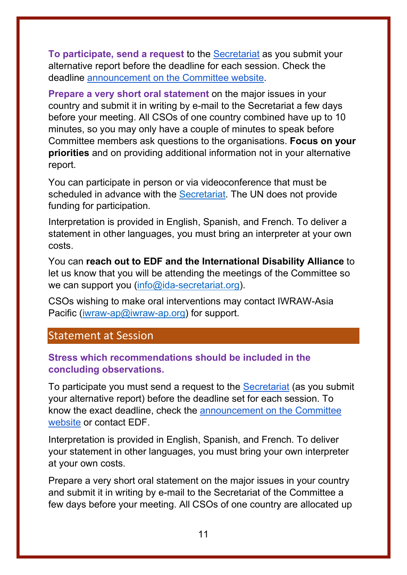**To participate, send a request** to the [Secretariat](https://www.ohchr.org/EN/HRBodies/CEDAW/Pages/Contact.aspx) as you submit your alternative report before the deadline for each session. Check the deadline [announcement on the Committee website.](https://www.ohchr.org/EN/HRBodies/CEDAW/Pages/CEDAWIndex.aspx)

**Prepare a very short oral statement** on the major issues in your country and submit it in writing by e-mail to the Secretariat a few days before your meeting. All CSOs of one country combined have up to 10 minutes, so you may only have a couple of minutes to speak before Committee members ask questions to the organisations. **Focus on your priorities** and on providing additional information not in your alternative report.

You can participate in person or via videoconference that must be scheduled in advance with the [Secretariat.](https://www.ohchr.org/EN/HRBodies/CEDAW/Pages/Contact.aspx) The UN does not provide funding for participation.

Interpretation is provided in English, Spanish, and French. To deliver a statement in other languages, you must bring an interpreter at your own costs.

You can **reach out to EDF and the International Disability Alliance** to let us know that you will be attending the meetings of the Committee so we can support you [\(info@ida-secretariat.org\)](mailto:info@ida-secretariat.org).

CSOs wishing to make oral interventions may contact IWRAW-Asia Pacific [\(iwraw-ap@iwraw-ap.org\)](mailto:iwraw-ap@iwraw-ap.org) for support.

#### Statement at Session

#### **Stress which recommendations should be included in the concluding observations.**

To participate you must send a request to the [Secretariat](https://www.ohchr.org/EN/HRBodies/CEDAW/Pages/Contact.aspx) (as you submit your alternative report) before the deadline set for each session. To know the exact deadline, check the [announcement on the Committee](https://www.ohchr.org/EN/HRBodies/CEDAW/Pages/CEDAWIndex.aspx)  [website](https://www.ohchr.org/EN/HRBodies/CEDAW/Pages/CEDAWIndex.aspx) or contact EDF.

Interpretation is provided in English, Spanish, and French. To deliver your statement in other languages, you must bring your own interpreter at your own costs.

Prepare a very short oral statement on the major issues in your country and submit it in writing by e-mail to the Secretariat of the Committee a few days before your meeting. All CSOs of one country are allocated up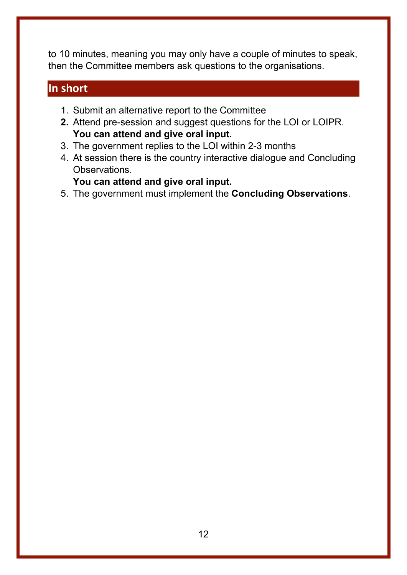to 10 minutes, meaning you may only have a couple of minutes to speak, then the Committee members ask questions to the organisations.

#### <span id="page-12-0"></span>**In short**

- 1. Submit an alternative report to the Committee
- **2.** Attend pre-session and suggest questions for the LOI or LOIPR. **You can attend and give oral input.**
- 3. The government replies to the LOI within 2-3 months
- 4. At session there is the country interactive dialogue and Concluding Observations.

**You can attend and give oral input.**

5. The government must implement the **Concluding Observations**.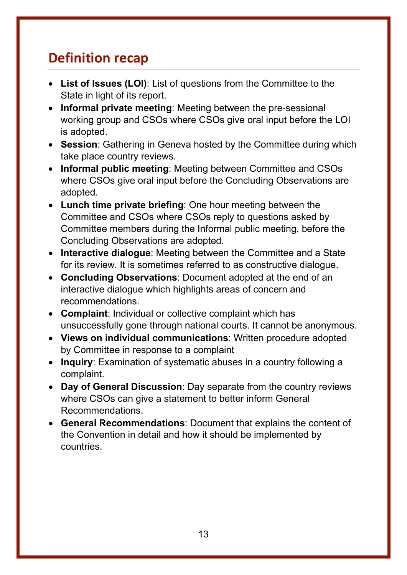## <span id="page-13-0"></span>**Definition recap**

- **List of Issues (LOI)**: List of questions from the Committee to the State in light of its report.
- **Informal private meeting**: Meeting between the pre-sessional working group and CSOs where CSOs give oral input before the LOI is adopted.
- **Session**: Gathering in Geneva hosted by the Committee during which take place country reviews.
- **Informal public meeting**: Meeting between Committee and CSOs where CSOs give oral input before the Concluding Observations are adopted.
- **Lunch time private briefing**: One hour meeting between the Committee and CSOs where CSOs reply to questions asked by Committee members during the Informal public meeting, before the Concluding Observations are adopted.
- **Interactive dialogue**: Meeting between the Committee and a State for its review. It is sometimes referred to as constructive dialogue.
- **Concluding Observations**: Document adopted at the end of an interactive dialogue which highlights areas of concern and recommendations.
- **Complaint**: Individual or collective complaint which has unsuccessfully gone through national courts. It cannot be anonymous.
- **Views on individual communications**: Written procedure adopted by Committee in response to a complaint
- **Inquiry**: Examination of systematic abuses in a country following a complaint.
- **Day of General Discussion**: Day separate from the country reviews where CSOs can give a statement to better inform General Recommendations.
- **General Recommendations**: Document that explains the content of the Convention in detail and how it should be implemented by countries.